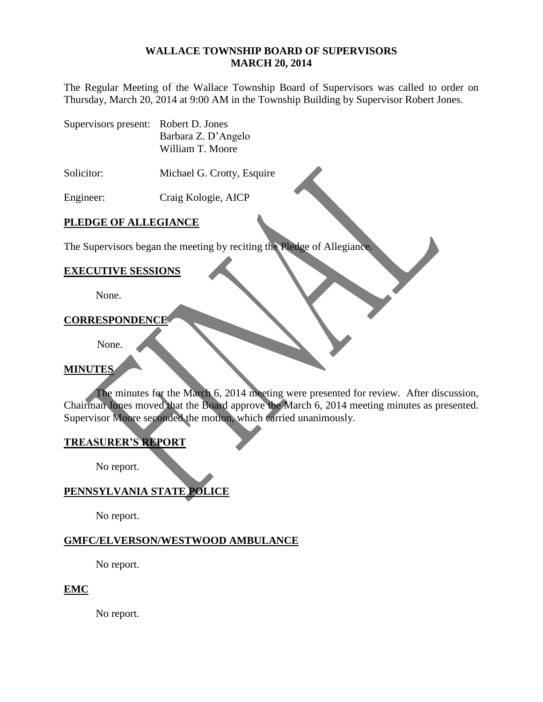#### **WALLACE TOWNSHIP BOARD OF SUPERVISORS MARCH 20, 2014**

The Regular Meeting of the Wallace Township Board of Supervisors was called to order on Thursday, March 20, 2014 at 9:00 AM in the Township Building by Supervisor Robert Jones.

Supervisors present: Robert D. Jones Barbara Z. D'Angelo William T. Moore

Solicitor: Michael G. Crotty, Esquire

Engineer: Craig Kologie, AICP

# **PLEDGE OF ALLEGIANCE**

The Supervisors began the meeting by reciting the Pledge of Allegiance.

#### **EXECUTIVE SESSIONS**

None.

#### **CORRESPONDENCE**

None.

## **MINUTES**

The minutes for the March 6, 2014 meeting were presented for review. After discussion, Chairman Jones moved that the Board approve the March 6, 2014 meeting minutes as presented. Supervisor Moore seconded the motion, which carried unanimously.

## **TREASURER'S REPORT**

No report.

# **PENNSYLVANIA STATE POLICE**

No report.

## **GMFC/ELVERSON/WESTWOOD AMBULANCE**

No report.

#### **EMC**

No report.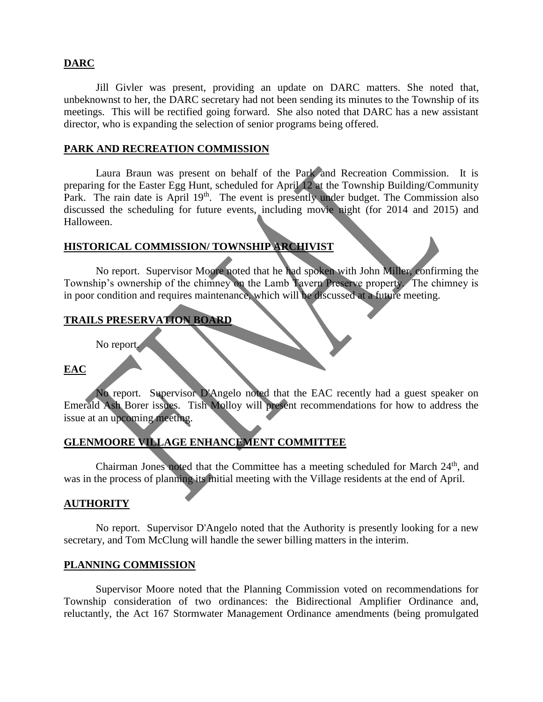## **DARC**

Jill Givler was present, providing an update on DARC matters. She noted that, unbeknownst to her, the DARC secretary had not been sending its minutes to the Township of its meetings. This will be rectified going forward. She also noted that DARC has a new assistant director, who is expanding the selection of senior programs being offered.

## **PARK AND RECREATION COMMISSION**

Laura Braun was present on behalf of the Park and Recreation Commission. It is preparing for the Easter Egg Hunt, scheduled for April 12 at the Township Building/Community Park. The rain date is April 19<sup>th</sup>. The event is presently under budget. The Commission also discussed the scheduling for future events, including movie night (for 2014 and 2015) and Halloween.

## **HISTORICAL COMMISSION/ TOWNSHIP ARCHIVIST**

No report. Supervisor Moore noted that he had spoken with John Miller, confirming the Township's ownership of the chimney on the Lamb Tavern Preserve property. The chimney is in poor condition and requires maintenance, which will be discussed at a future meeting.

# **TRAILS PRESERVATION BOARD**

No report.

## **EAC**

No report. Supervisor D'Angelo noted that the EAC recently had a guest speaker on Emerald Ash Borer issues. Tish Molloy will present recommendations for how to address the issue at an upcoming meeting.

# **GLENMOORE VILLAGE ENHANCEMENT COMMITTEE**

Chairman Jones noted that the Committee has a meeting scheduled for March  $24<sup>th</sup>$ , and was in the process of planning its initial meeting with the Village residents at the end of April.

#### **AUTHORITY**

No report. Supervisor D'Angelo noted that the Authority is presently looking for a new secretary, and Tom McClung will handle the sewer billing matters in the interim.

#### **PLANNING COMMISSION**

Supervisor Moore noted that the Planning Commission voted on recommendations for Township consideration of two ordinances: the Bidirectional Amplifier Ordinance and, reluctantly, the Act 167 Stormwater Management Ordinance amendments (being promulgated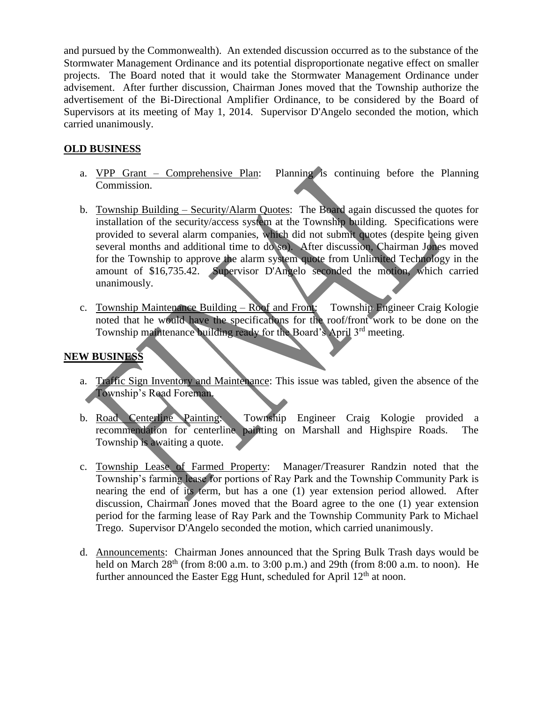and pursued by the Commonwealth). An extended discussion occurred as to the substance of the Stormwater Management Ordinance and its potential disproportionate negative effect on smaller projects. The Board noted that it would take the Stormwater Management Ordinance under advisement. After further discussion, Chairman Jones moved that the Township authorize the advertisement of the Bi-Directional Amplifier Ordinance, to be considered by the Board of Supervisors at its meeting of May 1, 2014. Supervisor D'Angelo seconded the motion, which carried unanimously.

# **OLD BUSINESS**

- a. VPP Grant Comprehensive Plan: Planning is continuing before the Planning Commission.
- b. Township Building Security/Alarm Quotes: The Board again discussed the quotes for installation of the security/access system at the Township building. Specifications were provided to several alarm companies, which did not submit quotes (despite being given several months and additional time to do so). After discussion, Chairman Jones moved for the Township to approve the alarm system quote from Unlimited Technology in the amount of \$16,735.42. Supervisor D'Angelo seconded the motion, which carried unanimously.
- c. Township Maintenance Building Roof and Front: Township Engineer Craig Kologie noted that he would have the specifications for the roof/front work to be done on the Township maintenance building ready for the Board's April 3<sup>rd</sup> meeting.

# **NEW BUSINESS**

- a. Traffic Sign Inventory and Maintenance: This issue was tabled, given the absence of the Township's Road Foreman.
- b. Road Centerline Painting: Township Engineer Craig Kologie provided a recommendation for centerline painting on Marshall and Highspire Roads. The Township is awaiting a quote.
- c. Township Lease of Farmed Property: Manager/Treasurer Randzin noted that the Township's farming lease for portions of Ray Park and the Township Community Park is nearing the end of its term, but has a one (1) year extension period allowed. After discussion, Chairman Jones moved that the Board agree to the one (1) year extension period for the farming lease of Ray Park and the Township Community Park to Michael Trego. Supervisor D'Angelo seconded the motion, which carried unanimously.
- d. Announcements: Chairman Jones announced that the Spring Bulk Trash days would be held on March  $28<sup>th</sup>$  (from 8:00 a.m. to 3:00 p.m.) and 29th (from 8:00 a.m. to noon). He further announced the Easter Egg Hunt, scheduled for April  $12<sup>th</sup>$  at noon.